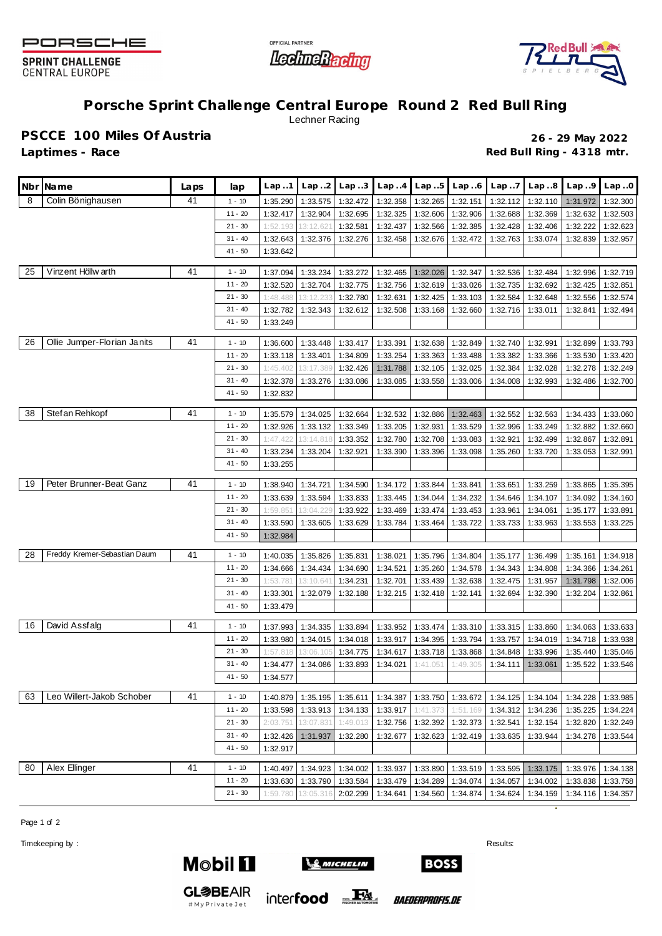

**SPRINT CHALLENGE CENTRAL EUROPE** 





## **Porsche Sprint Challenge Central Europe Round 2 Red Bull Ring** Lechner Racing

**PSCCE 100 Miles Of Austria 26 - 29 May 2022**

**Laptimes - Race Red Bull Ring - 4318 mtr.**

| Colin Bönighausen<br>41<br>8<br>$1 - 10$<br>1:35.290<br>1:33.575<br>1:32.472<br>1:32.358<br>1:32.265<br>1:32.151<br>1:32.112<br>1:32.110<br>1:31.972<br>1:32.300<br>$11 - 20$<br>1:32.904<br>1:32.325<br>1:32.606<br>1:32.417<br>1:32.695<br>1:32.906<br>1:32.688<br>1:32.369<br>1:32.632<br>1:32.503<br>$21 - 30$<br>1:32.566<br>1:32.581<br>1:32.437<br>1:32.385<br>1:32.428<br>1:32.406<br>1:32.222<br>1:32.623<br>1:52.193<br>13:12.62<br>$31 - 40$<br>1:32.643<br>1:32.376<br>1:32.276<br>1:32.458<br>1:32.676<br>1:33.074<br>1:32.839<br>1:32.957<br>1:32.472<br>1:32.763<br>$41 - 50$<br>1:33.642<br>Vinzent Höllw arth<br>25<br>41<br>$1 - 10$<br>1:37.094<br>1:33.234<br>1:33.272<br>1:32.465<br>1:32.026<br>1:32.347<br>1:32.536<br>1:32.484<br>1:32.996<br>1:32.719<br>$11 - 20$<br>1:32.704<br>1:32.775<br>1:32.756<br>1:32.619<br>1:32.520<br>1:33.026<br>1:32.735<br>1:32.692<br>1:32.425<br>1:32.851<br>$21 - 30$<br>1:48.488<br>13:12.233<br>1:32.780<br>1:32.631<br>1:32.425<br>1:33.103<br>1:32.584<br>1:32.648<br>1:32.556<br>1:32.574<br>$31 - 40$<br>1:32.782<br>1:32.343<br>1:32.612<br>1:32.508<br>1:33.168<br>1:32.660<br>1:32.716<br>1:33.011<br>1:32.841<br>1:32.494<br>$41 - 50$<br>1:33.249<br>Ollie Jumper-Florian Janits<br>41<br>26<br>$1 - 10$<br>1:33.417<br>1:33.391<br>1:32.638<br>1:32.740<br>1:32.991<br>1:36.600<br>1:33.448<br>1:32.849<br>1:32.899<br>1:33.793<br>$11 - 20$<br>1:33.401<br>1:33.254<br>1:33.363<br>1:33.118<br>1:34.809<br>1:33.488<br>1:33.382<br>1:33.366<br>1:33.530<br>1:33.420<br>$21 - 30$<br>1:45.402<br>1:32.426<br>1:31.788<br>1:32.105<br>1:32.025<br>1:32.384<br>1:32.028<br>1:32.278<br>1:32.249<br>13:17.389<br>$31 - 40$<br>1:32.378<br>1:33.276<br>1:33.086<br>1:33.085<br>1:33.558<br>1:32.486<br>1:33.006<br>1:34.008<br>1:32.993<br>1:32.700 |
|------------------------------------------------------------------------------------------------------------------------------------------------------------------------------------------------------------------------------------------------------------------------------------------------------------------------------------------------------------------------------------------------------------------------------------------------------------------------------------------------------------------------------------------------------------------------------------------------------------------------------------------------------------------------------------------------------------------------------------------------------------------------------------------------------------------------------------------------------------------------------------------------------------------------------------------------------------------------------------------------------------------------------------------------------------------------------------------------------------------------------------------------------------------------------------------------------------------------------------------------------------------------------------------------------------------------------------------------------------------------------------------------------------------------------------------------------------------------------------------------------------------------------------------------------------------------------------------------------------------------------------------------------------------------------------------------------------------------------------------------------------------------------------------------------------------------|
|                                                                                                                                                                                                                                                                                                                                                                                                                                                                                                                                                                                                                                                                                                                                                                                                                                                                                                                                                                                                                                                                                                                                                                                                                                                                                                                                                                                                                                                                                                                                                                                                                                                                                                                                                                                                                        |
|                                                                                                                                                                                                                                                                                                                                                                                                                                                                                                                                                                                                                                                                                                                                                                                                                                                                                                                                                                                                                                                                                                                                                                                                                                                                                                                                                                                                                                                                                                                                                                                                                                                                                                                                                                                                                        |
|                                                                                                                                                                                                                                                                                                                                                                                                                                                                                                                                                                                                                                                                                                                                                                                                                                                                                                                                                                                                                                                                                                                                                                                                                                                                                                                                                                                                                                                                                                                                                                                                                                                                                                                                                                                                                        |
|                                                                                                                                                                                                                                                                                                                                                                                                                                                                                                                                                                                                                                                                                                                                                                                                                                                                                                                                                                                                                                                                                                                                                                                                                                                                                                                                                                                                                                                                                                                                                                                                                                                                                                                                                                                                                        |
|                                                                                                                                                                                                                                                                                                                                                                                                                                                                                                                                                                                                                                                                                                                                                                                                                                                                                                                                                                                                                                                                                                                                                                                                                                                                                                                                                                                                                                                                                                                                                                                                                                                                                                                                                                                                                        |
|                                                                                                                                                                                                                                                                                                                                                                                                                                                                                                                                                                                                                                                                                                                                                                                                                                                                                                                                                                                                                                                                                                                                                                                                                                                                                                                                                                                                                                                                                                                                                                                                                                                                                                                                                                                                                        |
|                                                                                                                                                                                                                                                                                                                                                                                                                                                                                                                                                                                                                                                                                                                                                                                                                                                                                                                                                                                                                                                                                                                                                                                                                                                                                                                                                                                                                                                                                                                                                                                                                                                                                                                                                                                                                        |
|                                                                                                                                                                                                                                                                                                                                                                                                                                                                                                                                                                                                                                                                                                                                                                                                                                                                                                                                                                                                                                                                                                                                                                                                                                                                                                                                                                                                                                                                                                                                                                                                                                                                                                                                                                                                                        |
|                                                                                                                                                                                                                                                                                                                                                                                                                                                                                                                                                                                                                                                                                                                                                                                                                                                                                                                                                                                                                                                                                                                                                                                                                                                                                                                                                                                                                                                                                                                                                                                                                                                                                                                                                                                                                        |
|                                                                                                                                                                                                                                                                                                                                                                                                                                                                                                                                                                                                                                                                                                                                                                                                                                                                                                                                                                                                                                                                                                                                                                                                                                                                                                                                                                                                                                                                                                                                                                                                                                                                                                                                                                                                                        |
|                                                                                                                                                                                                                                                                                                                                                                                                                                                                                                                                                                                                                                                                                                                                                                                                                                                                                                                                                                                                                                                                                                                                                                                                                                                                                                                                                                                                                                                                                                                                                                                                                                                                                                                                                                                                                        |
|                                                                                                                                                                                                                                                                                                                                                                                                                                                                                                                                                                                                                                                                                                                                                                                                                                                                                                                                                                                                                                                                                                                                                                                                                                                                                                                                                                                                                                                                                                                                                                                                                                                                                                                                                                                                                        |
|                                                                                                                                                                                                                                                                                                                                                                                                                                                                                                                                                                                                                                                                                                                                                                                                                                                                                                                                                                                                                                                                                                                                                                                                                                                                                                                                                                                                                                                                                                                                                                                                                                                                                                                                                                                                                        |
|                                                                                                                                                                                                                                                                                                                                                                                                                                                                                                                                                                                                                                                                                                                                                                                                                                                                                                                                                                                                                                                                                                                                                                                                                                                                                                                                                                                                                                                                                                                                                                                                                                                                                                                                                                                                                        |
|                                                                                                                                                                                                                                                                                                                                                                                                                                                                                                                                                                                                                                                                                                                                                                                                                                                                                                                                                                                                                                                                                                                                                                                                                                                                                                                                                                                                                                                                                                                                                                                                                                                                                                                                                                                                                        |
| $41 - 50$<br>1:32.832                                                                                                                                                                                                                                                                                                                                                                                                                                                                                                                                                                                                                                                                                                                                                                                                                                                                                                                                                                                                                                                                                                                                                                                                                                                                                                                                                                                                                                                                                                                                                                                                                                                                                                                                                                                                  |
| Stefan Rehkopf<br>41<br>38<br>$1 - 10$<br>1:32.664<br>1:32.532<br>1:32.886<br>1:35.579<br>1:34.025<br>1:32.463<br>1:32.552<br>1:32.563<br>1:34.433<br>1:33.060                                                                                                                                                                                                                                                                                                                                                                                                                                                                                                                                                                                                                                                                                                                                                                                                                                                                                                                                                                                                                                                                                                                                                                                                                                                                                                                                                                                                                                                                                                                                                                                                                                                         |
| $11 - 20$<br>1:32.926<br>1:33.132<br>1:33.349<br>1:33.205<br>1:32.931<br>1:33.529<br>1:32.996<br>1:33.249<br>1:32.882<br>1:32.660                                                                                                                                                                                                                                                                                                                                                                                                                                                                                                                                                                                                                                                                                                                                                                                                                                                                                                                                                                                                                                                                                                                                                                                                                                                                                                                                                                                                                                                                                                                                                                                                                                                                                      |
| $21 - 30$<br>1:47.422<br>1:32.780<br>1:32.708<br>1:32.499<br>1:32.867<br>1:32.891<br>13:14.818<br>1:33.352<br>1:33.083<br>1:32.921                                                                                                                                                                                                                                                                                                                                                                                                                                                                                                                                                                                                                                                                                                                                                                                                                                                                                                                                                                                                                                                                                                                                                                                                                                                                                                                                                                                                                                                                                                                                                                                                                                                                                     |
| $31 - 40$<br>1:33.234<br>1:33.204<br>1:32.921<br>1:33.390<br>1:33.396<br>1:33.098<br>1:35.260<br>1:33.720<br>1:33.053<br>1:32.991                                                                                                                                                                                                                                                                                                                                                                                                                                                                                                                                                                                                                                                                                                                                                                                                                                                                                                                                                                                                                                                                                                                                                                                                                                                                                                                                                                                                                                                                                                                                                                                                                                                                                      |
| $41 - 50$<br>1:33.255                                                                                                                                                                                                                                                                                                                                                                                                                                                                                                                                                                                                                                                                                                                                                                                                                                                                                                                                                                                                                                                                                                                                                                                                                                                                                                                                                                                                                                                                                                                                                                                                                                                                                                                                                                                                  |
|                                                                                                                                                                                                                                                                                                                                                                                                                                                                                                                                                                                                                                                                                                                                                                                                                                                                                                                                                                                                                                                                                                                                                                                                                                                                                                                                                                                                                                                                                                                                                                                                                                                                                                                                                                                                                        |
| Peter Brunner-Beat Ganz<br>41<br>19<br>$1 - 10$<br>1:38.940<br>1:34.721<br>1:34.172<br>1:33.844<br>1:33.651<br>1:33.259<br>1:33.865<br>1:34.590<br>1:33.841<br>1:35.395                                                                                                                                                                                                                                                                                                                                                                                                                                                                                                                                                                                                                                                                                                                                                                                                                                                                                                                                                                                                                                                                                                                                                                                                                                                                                                                                                                                                                                                                                                                                                                                                                                                |
| $11 - 20$<br>1:33.639<br>1:33.594<br>1:33.833<br>1:33.445<br>1:34.044<br>1:34.232<br>1:34.646<br>1:34.107<br>1:34.092<br>1:34.160                                                                                                                                                                                                                                                                                                                                                                                                                                                                                                                                                                                                                                                                                                                                                                                                                                                                                                                                                                                                                                                                                                                                                                                                                                                                                                                                                                                                                                                                                                                                                                                                                                                                                      |
| $21 - 30$<br>1:33.922<br>1:33.474<br>1:59.851<br>13:04.229<br>1:33.469<br>1:33.453<br>1:33.961<br>1:34.061<br>1:35.177<br>1:33.891                                                                                                                                                                                                                                                                                                                                                                                                                                                                                                                                                                                                                                                                                                                                                                                                                                                                                                                                                                                                                                                                                                                                                                                                                                                                                                                                                                                                                                                                                                                                                                                                                                                                                     |
| $31 - 40$<br>1:33.590<br>1:33.605<br>1:33.629<br>1:33.784<br>1:33.464<br>1:33.722<br>1:33.733<br>1:33.963<br>1:33.553<br>1:33.225                                                                                                                                                                                                                                                                                                                                                                                                                                                                                                                                                                                                                                                                                                                                                                                                                                                                                                                                                                                                                                                                                                                                                                                                                                                                                                                                                                                                                                                                                                                                                                                                                                                                                      |
| $41 - 50$<br>1:32.984                                                                                                                                                                                                                                                                                                                                                                                                                                                                                                                                                                                                                                                                                                                                                                                                                                                                                                                                                                                                                                                                                                                                                                                                                                                                                                                                                                                                                                                                                                                                                                                                                                                                                                                                                                                                  |
| Freddy Kremer-Sebastian Daum<br>41<br>28<br>$1 - 10$<br>1:35.826<br>1:35.831<br>1:38.021<br>1:35.796<br>1:34.804<br>1:36.499<br>1:35.161<br>1:40.035<br>1:35.177<br>1:34.918                                                                                                                                                                                                                                                                                                                                                                                                                                                                                                                                                                                                                                                                                                                                                                                                                                                                                                                                                                                                                                                                                                                                                                                                                                                                                                                                                                                                                                                                                                                                                                                                                                           |
| $11 - 20$<br>1:34.666<br>1:34.434<br>1:34.690<br>1:34.521<br>1:35.260<br>1:34.343<br>1:34.808<br>1:34.366<br>1:34.261<br>1:34.578                                                                                                                                                                                                                                                                                                                                                                                                                                                                                                                                                                                                                                                                                                                                                                                                                                                                                                                                                                                                                                                                                                                                                                                                                                                                                                                                                                                                                                                                                                                                                                                                                                                                                      |
| $21 - 30$<br>1:32.701<br>1:33.439<br>1:32.638<br>1:53.781<br>13:10.641<br>1:34.231<br>1:32.475<br>1:31.957<br>1:31.798<br>1:32.006                                                                                                                                                                                                                                                                                                                                                                                                                                                                                                                                                                                                                                                                                                                                                                                                                                                                                                                                                                                                                                                                                                                                                                                                                                                                                                                                                                                                                                                                                                                                                                                                                                                                                     |
| $31 - 40$<br>1:32.188<br>1:32.418<br>1:32.204<br>1:32.861<br>1:33.301<br>1:32.079<br>1:32.215<br>1:32.141<br>1:32.694<br>1:32.390                                                                                                                                                                                                                                                                                                                                                                                                                                                                                                                                                                                                                                                                                                                                                                                                                                                                                                                                                                                                                                                                                                                                                                                                                                                                                                                                                                                                                                                                                                                                                                                                                                                                                      |
| $41 - 50$<br>1:33.479                                                                                                                                                                                                                                                                                                                                                                                                                                                                                                                                                                                                                                                                                                                                                                                                                                                                                                                                                                                                                                                                                                                                                                                                                                                                                                                                                                                                                                                                                                                                                                                                                                                                                                                                                                                                  |
| David Assfalg<br>41<br>16<br>$1 - 10$<br>1:33.952<br>1:37.993<br>1:34.335<br>1:33.894<br>1:33.474<br>1:33.310<br>1:33.315<br>1:33.860<br>1:34.063<br>1:33.633                                                                                                                                                                                                                                                                                                                                                                                                                                                                                                                                                                                                                                                                                                                                                                                                                                                                                                                                                                                                                                                                                                                                                                                                                                                                                                                                                                                                                                                                                                                                                                                                                                                          |
| $11 - 20$<br>1:33.980<br>1:34.015<br>1:33.917<br>1:34.395<br>1:34.019<br>1:34.718<br>1:34.018<br>1:33.794<br>1:33.757<br>1:33.938                                                                                                                                                                                                                                                                                                                                                                                                                                                                                                                                                                                                                                                                                                                                                                                                                                                                                                                                                                                                                                                                                                                                                                                                                                                                                                                                                                                                                                                                                                                                                                                                                                                                                      |
| $21 - 30$<br>1:33.718<br>1:33.868<br>1:34.848<br>1:33.996<br>1:35.440<br>1:35.046<br>1:57.818<br>13:06.105<br>1:34.775<br>1:34.617                                                                                                                                                                                                                                                                                                                                                                                                                                                                                                                                                                                                                                                                                                                                                                                                                                                                                                                                                                                                                                                                                                                                                                                                                                                                                                                                                                                                                                                                                                                                                                                                                                                                                     |
| $31 - 40$<br>1:34.477<br>1:34.086<br>1:33.893<br>1:34.021<br>1:49.305<br>1:35.522<br>1:33.546<br>1:41.051<br>1:34.111<br>1:33.061                                                                                                                                                                                                                                                                                                                                                                                                                                                                                                                                                                                                                                                                                                                                                                                                                                                                                                                                                                                                                                                                                                                                                                                                                                                                                                                                                                                                                                                                                                                                                                                                                                                                                      |
| $41 - 50$<br>1:34.577                                                                                                                                                                                                                                                                                                                                                                                                                                                                                                                                                                                                                                                                                                                                                                                                                                                                                                                                                                                                                                                                                                                                                                                                                                                                                                                                                                                                                                                                                                                                                                                                                                                                                                                                                                                                  |
| Leo Willert-Jakob Schober                                                                                                                                                                                                                                                                                                                                                                                                                                                                                                                                                                                                                                                                                                                                                                                                                                                                                                                                                                                                                                                                                                                                                                                                                                                                                                                                                                                                                                                                                                                                                                                                                                                                                                                                                                                              |
| 41<br>63<br>$1 - 10$<br>1:40.879<br>1:35.195<br>1:35.611<br>1:34.387<br>1:33.750<br>1:33.672<br>1:34.125<br>1:34.104<br>1:34.228<br>1:33.985                                                                                                                                                                                                                                                                                                                                                                                                                                                                                                                                                                                                                                                                                                                                                                                                                                                                                                                                                                                                                                                                                                                                                                                                                                                                                                                                                                                                                                                                                                                                                                                                                                                                           |
| $11 - 20$<br>1:33.598<br>1:33.917<br>1:33.913<br>1:34.133<br>1:41.373<br>1:51.169<br>1:34.312<br>1:34.236<br>1:35.225<br>1:34.224                                                                                                                                                                                                                                                                                                                                                                                                                                                                                                                                                                                                                                                                                                                                                                                                                                                                                                                                                                                                                                                                                                                                                                                                                                                                                                                                                                                                                                                                                                                                                                                                                                                                                      |
| $21 - 30$<br>2:03.751<br>13:07.831<br>1:49.013<br>1:32.756<br>1:32.392<br>1:32.373<br>1:32.541<br>1:32.154<br>1:32.820<br>1:32.249                                                                                                                                                                                                                                                                                                                                                                                                                                                                                                                                                                                                                                                                                                                                                                                                                                                                                                                                                                                                                                                                                                                                                                                                                                                                                                                                                                                                                                                                                                                                                                                                                                                                                     |
| $31 - 40$<br>1:32.280<br>1:32.426<br>1:31.937<br>1:32.677<br>1:32.623<br>1:32.419<br>1:33.635<br>1:33.944<br>1:34.278<br>1:33.544                                                                                                                                                                                                                                                                                                                                                                                                                                                                                                                                                                                                                                                                                                                                                                                                                                                                                                                                                                                                                                                                                                                                                                                                                                                                                                                                                                                                                                                                                                                                                                                                                                                                                      |
| $41 - 50$<br>1:32.917                                                                                                                                                                                                                                                                                                                                                                                                                                                                                                                                                                                                                                                                                                                                                                                                                                                                                                                                                                                                                                                                                                                                                                                                                                                                                                                                                                                                                                                                                                                                                                                                                                                                                                                                                                                                  |
| Alex Ellinger<br>41<br>80<br>$1 - 10$<br>1:40.497<br>1:34.923<br>1:34.002<br>1:33.937<br>1:33.890<br>1:33.519<br>1:33.595<br>1:33.175<br>1:33.976<br>1:34.138                                                                                                                                                                                                                                                                                                                                                                                                                                                                                                                                                                                                                                                                                                                                                                                                                                                                                                                                                                                                                                                                                                                                                                                                                                                                                                                                                                                                                                                                                                                                                                                                                                                          |
| $11 - 20$<br>1:33.790<br>1:33.479<br>1:34.289<br>1:33.630<br>1:33.584<br>1:34.074<br>1:34.057<br>1:34.002<br>1:33.838<br>1:33.758                                                                                                                                                                                                                                                                                                                                                                                                                                                                                                                                                                                                                                                                                                                                                                                                                                                                                                                                                                                                                                                                                                                                                                                                                                                                                                                                                                                                                                                                                                                                                                                                                                                                                      |
| $21 - 30$<br>2:02.299<br>13:05.316<br>1:34.641<br>1:34.560<br>1:34.874<br>1:34.624<br>1:34.159<br>1:34.116<br>1:34.357<br>1:59.780                                                                                                                                                                                                                                                                                                                                                                                                                                                                                                                                                                                                                                                                                                                                                                                                                                                                                                                                                                                                                                                                                                                                                                                                                                                                                                                                                                                                                                                                                                                                                                                                                                                                                     |

Page 1 of 2

Timekeeping by : Results: Results: Results: Results: Results: Results: Results: Results: Results: Results: Results: Results: Results: Results: Results: Results: Results: Results: Results: Results: Results: Results: Results





inter**food** EX

**BOSS**